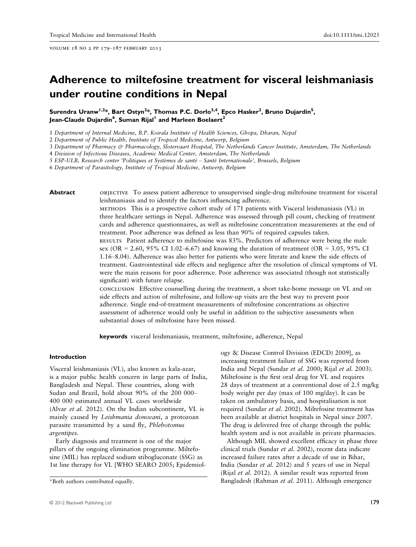volume 18 no 2 pp 179–187 february 2013

# Adherence to miltefosine treatment for visceral leishmaniasis under routine conditions in Nepal

Surendra Uranw<sup>1,2</sup>\*, Bart Ostyn<sup>2</sup>\*, Thomas P.C. Dorlo<sup>3,4</sup>, Epco Hasker<sup>2</sup>, Bruno Dujardin<sup>5</sup>, Jean-Claude Dujardin<sup>6</sup>, Suman Rijal<sup>l</sup> and Marleen Boelaert<sup>2</sup>

1 Department of Internal Medicine, B.P. Koirala Institute of Health Sciences, Ghopa, Dharan, Nepal

2 Department of Public Health, Institute of Tropical Medicine, Antwerp, Belgium

3 Department of Pharmacy & Pharmacology, Slotervaart Hospital, The Netherlands Cancer Institute, Amsterdam, The Netherlands

4 Division of Infectious Diseases, Academic Medical Center, Amsterdam, The Netherlands

5 ESP-ULB, Research center 'Politiques et Systemes de sante – Sante Internationale', Brussels, Belgium

6 Department of Parasitology, Institute of Tropical Medicine, Antwerp, Belgium

Abstract **objective** To assess patient adherence to unsupervised single-drug miltefosine treatment for visceral leishmaniasis and to identify the factors influencing adherence.

> methods This is a prospective cohort study of 171 patients with Visceral leishmaniasis (VL) in three healthcare settings in Nepal. Adherence was assessed through pill count, checking of treatment cards and adherence questionnaires, as well as miltefosine concentration measurements at the end of treatment. Poor adherence was defined as less than 90% of required capsules taken. results Patient adherence to miltefosine was 83%. Predictors of adherence were being the male sex (OR = 2.60, 95% CI 1.02–6.67) and knowing the duration of treatment (OR = 3.05, 95% CI 1.16–8.04). Adherence was also better for patients who were literate and knew the side effects of treatment. Gastrointestinal side effects and negligence after the resolution of clinical symptoms of VL were the main reasons for poor adherence. Poor adherence was associated (though not statistically significant) with future relapse.

conclusion Effective counselling during the treatment, a short take-home message on VL and on side effects and action of miltefosine, and follow-up visits are the best way to prevent poor adherence. Single end-of-treatment measurements of miltefosine concentrations as objective assessment of adherence would only be useful in addition to the subjective assessments when substantial doses of miltefosine have been missed.

keywords visceral leishmaniasis, treatment, miltefosine, adherence, Nepal

#### Introduction

Visceral leishmaniasis (VL), also known as kala-azar, is a major public health concern in large parts of India, Bangladesh and Nepal. These countries, along with Sudan and Brazil, hold about 90% of the 200 000– 400 000 estimated annual VL cases worldwide (Alvar et al. 2012). On the Indian subcontinent, VL is mainly caused by Leishmania donovani, a protozoan parasite transmitted by a sand fly, Phlebotomus argentipes.

Early diagnosis and treatment is one of the major pillars of the ongoing elimination programme. Miltefosine (MIL) has replaced sodium stibogluconate (SSG) as 1st line therapy for VL [WHO SEARO 2005; Epidemiology & Disease Control Division (EDCD) 2009], as increasing treatment failure of SSG was reported from India and Nepal (Sundar et al. 2000; Rijal et al. 2003). Miltefosine is the first oral drug for VL and requires 28 days of treatment at a conventional dose of 2.5 mg/kg body weight per day (max of 100 mg/day). It can be taken on ambulatory basis, and hospitalisation is not required (Sundar et al. 2002). Miltefosine treatment has been available at district hospitals in Nepal since 2007. The drug is delivered free of charge through the public health system and is not available in private pharmacies.

Although MIL showed excellent efficacy in phase three clinical trials (Sundar et al. 2002), recent data indicate increased failure rates after a decade of use in Bihar, India (Sundar et al. 2012) and 5 years of use in Nepal (Rijal et al. 2012). A similar result was reported from \*Both authors contributed equally. Bangladesh (Rahman et al. 2011). Although emergence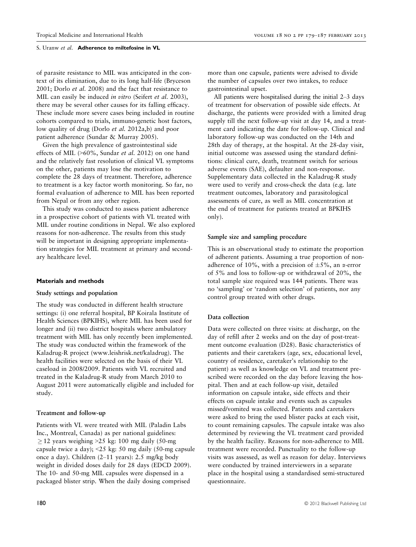of parasite resistance to MIL was anticipated in the context of its elimination, due to its long half-life (Bryceson 2001; Dorlo et al. 2008) and the fact that resistance to MIL can easily be induced *in vitro* (Seifert *et al.* 2003), there may be several other causes for its falling efficacy. These include more severe cases being included in routine cohorts compared to trials, immuno-genetic host factors, low quality of drug (Dorlo et al. 2012a,b) and poor patient adherence (Sundar & Murray 2005).

Given the high prevalence of gastrointestinal side effects of MIL (>60%, Sundar et al. 2012) on one hand and the relatively fast resolution of clinical VL symptoms on the other, patients may lose the motivation to complete the 28 days of treatment. Therefore, adherence to treatment is a key factor worth monitoring. So far, no formal evaluation of adherence to MIL has been reported from Nepal or from any other region.

This study was conducted to assess patient adherence in a prospective cohort of patients with VL treated with MIL under routine conditions in Nepal. We also explored reasons for non-adherence. The results from this study will be important in designing appropriate implementation strategies for MIL treatment at primary and secondary healthcare level.

# Materials and methods

#### Study settings and population

The study was conducted in different health structure settings: (i) one referral hospital, BP Koirala Institute of Health Sciences (BPKIHS), where MIL has been used for longer and (ii) two district hospitals where ambulatory treatment with MIL has only recently been implemented. The study was conducted within the framework of the Kaladrug-R project (www.leishrisk.net/kaladrug). The health facilities were selected on the basis of their VL caseload in 2008/2009. Patients with VL recruited and treated in the Kaladrug-R study from March 2010 to August 2011 were automatically eligible and included for study.

# Treatment and follow-up

Patients with VL were treated with MIL (Paladin Labs Inc., Montreal, Canada) as per national guidelines:  $>$  12 years weighing  $>$  25 kg: 100 mg daily (50-mg) capsule twice a day); <25 kg: 50 mg daily (50-mg capsule once a day). Children (2–11 years): 2.5 mg/kg body weight in divided doses daily for 28 days (EDCD 2009). The 10- and 50-mg MIL capsules were dispensed in a packaged blister strip. When the daily dosing comprised

more than one capsule, patients were advised to divide the number of capsules over two intakes, to reduce gastrointestinal upset.

All patients were hospitalised during the initial 2–3 days of treatment for observation of possible side effects. At discharge, the patients were provided with a limited drug supply till the next follow-up visit at day 14, and a treatment card indicating the date for follow-up. Clinical and laboratory follow-up was conducted on the 14th and 28th day of therapy, at the hospital. At the 28-day visit, initial outcome was assessed using the standard definitions: clinical cure, death, treatment switch for serious adverse events (SAE), defaulter and non-response. Supplementary data collected in the Kaladrug-R study were used to verify and cross-check the data (e.g. late treatment outcomes, laboratory and parasitological assessments of cure, as well as MIL concentration at the end of treatment for patients treated at BPKIHS only).

#### Sample size and sampling procedure

This is an observational study to estimate the proportion of adherent patients. Assuming a true proportion of nonadherence of 10%, with a precision of  $\pm 5$ %, an  $\alpha$ -error of 5% and loss to follow-up or withdrawal of 20%, the total sample size required was 144 patients. There was no 'sampling' or 'random selection' of patients, nor any control group treated with other drugs.

#### Data collection

Data were collected on three visits: at discharge, on the day of refill after 2 weeks and on the day of post-treatment outcome evaluation (D28). Basic characteristics of patients and their caretakers (age, sex, educational level, country of residence, caretaker's relationship to the patient) as well as knowledge on VL and treatment prescribed were recorded on the day before leaving the hospital. Then and at each follow-up visit, detailed information on capsule intake, side effects and their effects on capsule intake and events such as capsules missed/vomited was collected. Patients and caretakers were asked to bring the used blister packs at each visit, to count remaining capsules. The capsule intake was also determined by reviewing the VL treatment card provided by the health facility. Reasons for non-adherence to MIL treatment were recorded. Punctuality to the follow-up visits was assessed, as well as reason for delay. Interviews were conducted by trained interviewers in a separate place in the hospital using a standardised semi-structured questionnaire.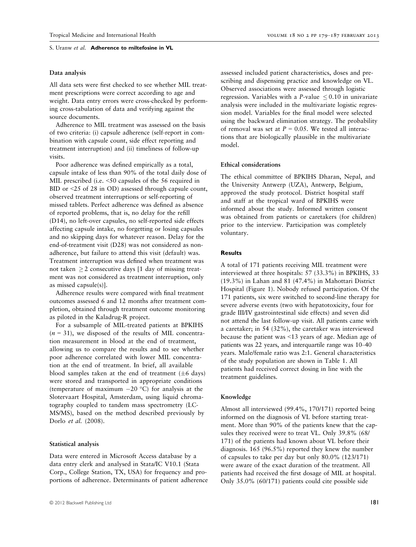# Data analysis

All data sets were first checked to see whether MIL treatment prescriptions were correct according to age and weight. Data entry errors were cross-checked by performing cross-tabulation of data and verifying against the source documents.

Adherence to MIL treatment was assessed on the basis of two criteria: (i) capsule adherence (self-report in combination with capsule count, side effect reporting and treatment interruption) and (ii) timeliness of follow-up visits.

Poor adherence was defined empirically as a total, capsule intake of less than 90% of the total daily dose of MIL prescribed (i.e. <50 capsules of the 56 required in BID or <25 of 28 in OD) assessed through capsule count, observed treatment interruptions or self-reporting of missed tablets. Perfect adherence was defined as absence of reported problems, that is, no delay for the refill (D14), no left-over capsules, no self-reported side effects affecting capsule intake, no forgetting or losing capsules and no skipping days for whatever reason. Delay for the end-of-treatment visit (D28) was not considered as nonadherence, but failure to attend this visit (default) was. Treatment interruption was defined when treatment was not taken  $\geq$  2 consecutive days [1 day of missing treatment was not considered as treatment interruption, only as missed capsule(s)].

Adherence results were compared with final treatment outcomes assessed 6 and 12 months after treatment completion, obtained through treatment outcome monitoring as piloted in the Kaladrug-R project.

For a subsample of MIL-treated patients at BPKIHS  $(n = 31)$ , we disposed of the results of MIL concentration measurement in blood at the end of treatment, allowing us to compare the results and to see whether poor adherence correlated with lower MIL concentration at the end of treatment. In brief, all available blood samples taken at the end of treatment ( $\pm 6$  days) were stored and transported in appropriate conditions (temperature of maximum  $-20$  °C) for analysis at the Slotervaart Hospital, Amsterdam, using liquid chromatography coupled to tandem mass spectrometry (LC-MS/MS), based on the method described previously by Dorlo et al. (2008).

# Statistical analysis

Data were entered in Microsoft Access database by a data entry clerk and analysed in Stata/IC V10.1 (Stata Corp., College Station, TX, USA) for frequency and proportions of adherence. Determinants of patient adherence assessed included patient characteristics, doses and prescribing and dispensing practice and knowledge on VL. Observed associations were assessed through logistic regression. Variables with a  $P$ -value  $\leq 0.10$  in univariate analysis were included in the multivariate logistic regression model. Variables for the final model were selected using the backward elimination strategy. The probability of removal was set at  $P = 0.05$ . We tested all interactions that are biologically plausible in the multivariate model.

# Ethical considerations

The ethical committee of BPKIHS Dharan, Nepal, and the University Antwerp (UZA), Antwerp, Belgium, approved the study protocol. District hospital staff and staff at the tropical ward of BPKIHS were informed about the study. Informed written consent was obtained from patients or caretakers (for children) prior to the interview. Participation was completely voluntary.

#### **Results**

A total of 171 patients receiving MIL treatment were interviewed at three hospitals: 57 (33.3%) in BPKIHS, 33 (19.3%) in Lahan and 81 (47.4%) in Mahottari District Hospital (Figure 1). Nobody refused participation. Of the 171 patients, six were switched to second-line therapy for severe adverse events (two with hepatotoxicity, four for grade III/IV gastrointestinal side effects) and seven did not attend the last follow-up visit. All patients came with a caretaker; in 54 (32%), the caretaker was interviewed because the patient was <13 years of age. Median age of patients was 22 years, and interquartile range was 10–40 years. Male/female ratio was 2:1. General characteristics of the study population are shown in Table 1. All patients had received correct dosing in line with the treatment guidelines.

#### Knowledge

Almost all interviewed (99.4%, 170/171) reported being informed on the diagnosis of VL before starting treatment. More than 90% of the patients knew that the capsules they received were to treat VL. Only 39.8% (68/ 171) of the patients had known about VL before their diagnosis. 165 (96.5%) reported they knew the number of capsules to take per day but only 80.0% (123/171) were aware of the exact duration of the treatment. All patients had received the first dosage of MIL at hospital. Only 35.0% (60/171) patients could cite possible side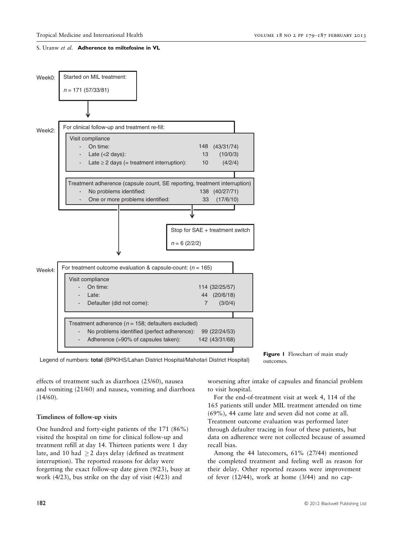

Figure 1 Flowchart of main study outcomes.

effects of treatment such as diarrhoea (25/60), nausea and vomiting (21/60) and nausea, vomiting and diarrhoea (14/60).

# Timeliness of follow-up visits

One hundred and forty-eight patients of the 171 (86%) visited the hospital on time for clinical follow-up and treatment refill at day 14. Thirteen patients were 1 day late, and 10 had  $\geq$  2 days delay (defined as treatment interruption). The reported reasons for delay were forgetting the exact follow-up date given (9/23), busy at work (4/23), bus strike on the day of visit (4/23) and

worsening after intake of capsules and financial problem to visit hospital.

For the end-of-treatment visit at week 4, 114 of the 165 patients still under MIL treatment attended on time (69%), 44 came late and seven did not come at all. Treatment outcome evaluation was performed later through defaulter tracing in four of these patients, but data on adherence were not collected because of assumed recall bias.

Among the 44 latecomers, 61% (27/44) mentioned the completed treatment and feeling well as reason for their delay. Other reported reasons were improvement of fever (12/44), work at home (3/44) and no cap-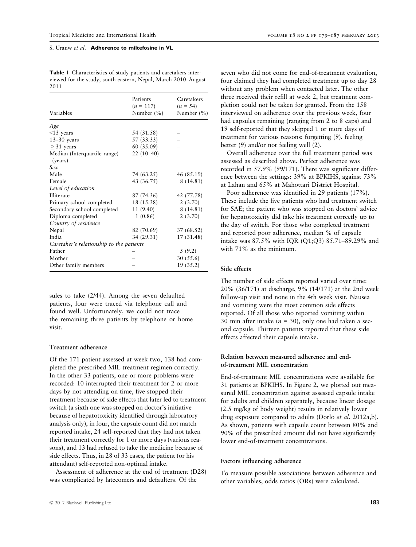Table 1 Characteristics of study patients and caretakers interviewed for the study, south eastern, Nepal, March 2010–August 2011

| Variables                                | Patients<br>$(n = 117)$<br>Number $(\% )$ | Caretakers<br>$(n = 54)$<br>Number (%) |
|------------------------------------------|-------------------------------------------|----------------------------------------|
| Age                                      |                                           |                                        |
| $<$ 13 years                             | 54 (31.58)                                |                                        |
| $13-30$ years                            | 57 (33.33)                                |                                        |
| $>31$ years                              | 60 (35.09)                                |                                        |
| Median (Interquartile range)<br>(years)  | $22(10-40)$                               |                                        |
| Sex                                      |                                           |                                        |
| Male                                     | 74 (63.25)                                | 46 (85.19)                             |
| Female                                   | 43 (36.75)                                | 8(14.81)                               |
| Level of education                       |                                           |                                        |
| Illiterate                               | 87 (74.36)                                | 42 (77.78)                             |
| Primary school completed                 | 18 (15.38)                                | 2(3.70)                                |
| Secondary school completed               | 11 (9.40)                                 | 8(14.81)                               |
| Diploma completed                        | 1(0.86)                                   | 2(3.70)                                |
| Country of residence                     |                                           |                                        |
| Nepal                                    | 82 (70.69)                                | 37 (68.52)                             |
| India                                    | 34 (29.31)                                | 17 (31.48)                             |
| Caretaker's relationship to the patients |                                           |                                        |
| Father                                   |                                           | 5(9.2)                                 |
| Mother                                   |                                           | 30 (55.6)                              |
| Other family members                     |                                           | 19(35.2)                               |

sules to take (2/44). Among the seven defaulted patients, four were traced via telephone call and found well. Unfortunately, we could not trace the remaining three patients by telephone or home visit.

# Treatment adherence

Of the 171 patient assessed at week two, 138 had completed the prescribed MIL treatment regimen correctly. In the other 33 patients, one or more problems were recorded: 10 interrupted their treatment for 2 or more days by not attending on time, five stopped their treatment because of side effects that later led to treatment switch (a sixth one was stopped on doctor's initiative because of hepatotoxicity identified through laboratory analysis only), in four, the capsule count did not match reported intake, 24 self-reported that they had not taken their treatment correctly for 1 or more days (various reasons), and 13 had refused to take the medicine because of side effects. Thus, in 28 of 33 cases, the patient (or his attendant) self-reported non-optimal intake.

Assessment of adherence at the end of treatment (D28) was complicated by latecomers and defaulters. Of the

seven who did not come for end-of-treatment evaluation, four claimed they had completed treatment up to day 28 without any problem when contacted later. The other three received their refill at week 2, but treatment completion could not be taken for granted. From the 158 interviewed on adherence over the previous week, four had capsules remaining (ranging from 2 to 8 caps) and 19 self-reported that they skipped 1 or more days of treatment for various reasons: forgetting (9), feeling better (9) and/or not feeling well (2).

Overall adherence over the full treatment period was assessed as described above. Perfect adherence was recorded in 57.9% (99/171). There was significant difference between the settings: 39% at BPKIHS, against 73% at Lahan and 65% at Mahottari District Hospital.

Poor adherence was identified in 29 patients (17%). These include the five patients who had treatment switch for SAE; the patient who was stopped on doctors' advice for hepatotoxicity did take his treatment correctly up to the day of switch. For those who completed treatment and reported poor adherence, median % of capsule intake was 87.5% with IQR (Q1;Q3) 85.71–89.29% and with 71% as the minimum.

# Side effects

The number of side effects reported varied over time: 20% (36/171) at discharge, 9% (14/171) at the 2nd week follow-up visit and none in the 4th week visit. Nausea and vomiting were the most common side effects reported. Of all those who reported vomiting within 30 min after intake ( $n = 30$ ), only one had taken a second capsule. Thirteen patients reported that these side effects affected their capsule intake.

# Relation between measured adherence and endof-treatment MIL concentration

End-of-treatment MIL concentrations were available for 31 patients at BPKIHS. In Figure 2, we plotted out measured MIL concentration against assessed capsule intake for adults and children separately, because linear dosage (2.5 mg/kg of body weight) results in relatively lower drug exposure compared to adults (Dorlo et al. 2012a,b). As shown, patients with capsule count between 80% and 90% of the prescribed amount did not have significantly lower end-of-treatment concentrations.

# Factors influencing adherence

To measure possible associations between adherence and other variables, odds ratios (ORs) were calculated.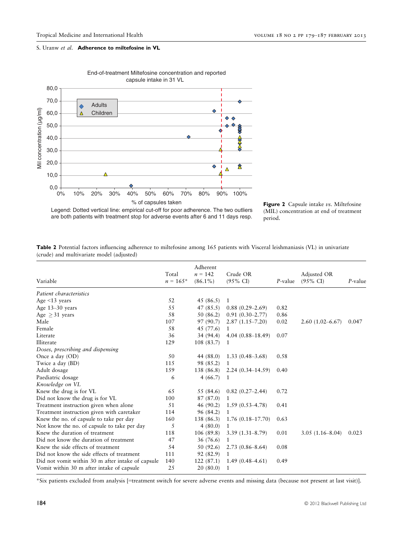

End-of-treatment Miltefosine concentration and reported capsule intake in 31 VL



are both patients with treatment stop for adverse events after 6 and 11 days resp.

Legend: Dotted vertical line: empirical cut-off for poor adherence. The two outliers

| Table 2 Potential factors influencing adherence to miltefosine among 165 patients with Visceral leishmaniasis (VL) in univariate |  |  |  |  |  |  |
|----------------------------------------------------------------------------------------------------------------------------------|--|--|--|--|--|--|
| (crude) and multivariate model (adjusted)                                                                                        |  |  |  |  |  |  |

|                                                   | Total      | Adherent<br>$n = 142$ | Crude OR              |            | Adjusted OR         |         |
|---------------------------------------------------|------------|-----------------------|-----------------------|------------|---------------------|---------|
| Variable                                          | $n = 165*$ | $(86.1\%)$            | $(95\% \text{ CI})$   | $P$ -value | $(95\% \text{ CI})$ | P-value |
| Patient characteristics                           |            |                       |                       |            |                     |         |
| Age $\leq$ 13 years                               | 52         | 45 (86.5)             | 1                     |            |                     |         |
| Age 13-30 years                                   | 55         | 47 (85.5)             | $0.88(0.29-2.69)$     | 0.82       |                     |         |
| Age $\geq$ 31 years                               | 58         | 50 (86.2)             | $0.91(0.30 - 2.77)$   | 0.86       |                     |         |
| Male                                              | 107        | 97 (90.7)             | $2.87(1.15 - 7.20)$   | 0.02       | $2.60(1.02 - 6.67)$ | 0.047   |
| Female                                            | 58         | 45 (77.6)             | 1                     |            |                     |         |
| Literate                                          | 36         | 34 (94.4)             | 4.04 $(0.88 - 18.49)$ | 0.07       |                     |         |
| Illiterate                                        | 129        | 108 (83.7)            | 1                     |            |                     |         |
| Doses, prescribing and dispensing                 |            |                       |                       |            |                     |         |
| Once a day (OD)                                   | 50         | 44 (88.0)             | $1.33(0.48 - 3.68)$   | 0.58       |                     |         |
| Twice a day (BD)                                  | 115        | 98 (85.2)             | 1                     |            |                     |         |
| Adult dosage                                      | 159        | 138 (86.8)            | $2.24(0.34 - 14.59)$  | 0.40       |                     |         |
| Paediatric dosage                                 | 6          | 4(66.7)               | 1                     |            |                     |         |
| Knowledge on VL                                   |            |                       |                       |            |                     |         |
| Knew the drug is for VL                           | 65         | 55 (84.6)             | $0.82(0.27-2.44)$     | 0.72       |                     |         |
| Did not know the drug is for VL                   | 100        | 87 (87.0)             | 1                     |            |                     |         |
| Treatment instruction given when alone            | 51         | 46 (90.2)             | $1.59(0.53 - 4.78)$   | 0.41       |                     |         |
| Treatment instruction given with caretaker        | 114        | 96 (84.2)             | 1                     |            |                     |         |
| Knew the no. of capsule to take per day           | 160        | 138 (86.3)            | $1.76(0.18 - 17.70)$  | 0.63       |                     |         |
| Not know the no. of capsule to take per day       | 5          | 4(80.0)               | 1                     |            |                     |         |
| Knew the duration of treatment                    | 118        | 106 (89.8)            | $3.39(1.31 - 8.79)$   | 0.01       | $3.05(1.16 - 8.04)$ | 0.023   |
| Did not know the duration of treatment            | 47         | 36 (76.6)             | 1                     |            |                     |         |
| Knew the side effects of treatment                | 54         | 50 (92.6)             | $2.73(0.86 - 8.64)$   | 0.08       |                     |         |
| Did not know the side effects of treatment        | 111        | 92 (82.9)             | 1                     |            |                     |         |
| Did not vomit within 30 m after intake of capsule | 140        | 122(87.1)             | $1.49(0.48 - 4.61)$   | 0.49       |                     |         |
| Vomit within 30 m after intake of capsule         | 25         | 20(80.0)              | 1                     |            |                     |         |

\*Six patients excluded from analysis [=treatment switch for severe adverse events and missing data (because not present at last visit)].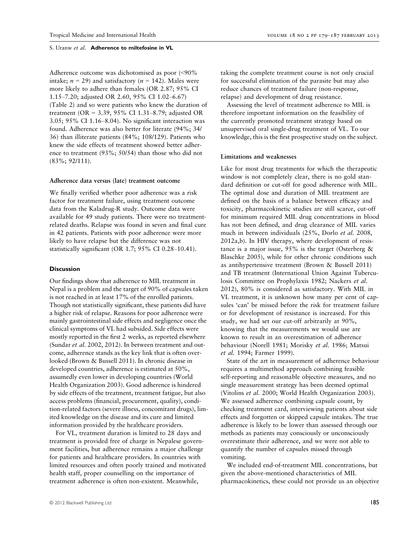Adherence outcome was dichotomised as poor (<90% intake;  $n = 29$ ) and satisfactory ( $n = 142$ ). Males were more likely to adhere than females (OR 2.87; 95% CI 1.15–7.20; adjusted OR 2.60, 95% CI 1.02–6.67) (Table 2) and so were patients who knew the duration of treatment (OR = 3.39, 95% CI 1.31–8.79; adjusted OR 3.05; 95% CI 1.16–8.04). No significant interaction was found. Adherence was also better for literate (94%; 34/ 36) than illiterate patients (84%; 108/129). Patients who knew the side effects of treatment showed better adherence to treatment (93%; 50/54) than those who did not (83%; 92/111).

#### Adherence data versus (late) treatment outcome

We finally verified whether poor adherence was a risk factor for treatment failure, using treatment outcome data from the Kaladrug-R study. Outcome data were available for 49 study patients. There were no treatmentrelated deaths. Relapse was found in seven and final cure in 42 patients. Patients with poor adherence were more likely to have relapse but the difference was not statistically significant (OR 1.7; 95% CI 0.28–10.41).

#### **Discussion**

Our findings show that adherence to MIL treatment in Nepal is a problem and the target of 90% of capsules taken is not reached in at least 17% of the enrolled patients. Though not statistically significant, these patients did have a higher risk of relapse. Reasons for poor adherence were mainly gastrointestinal side effects and negligence once the clinical symptoms of VL had subsided. Side effects were mostly reported in the first 2 weeks, as reported elsewhere (Sundar et al. 2002, 2012). In between treatment and outcome, adherence stands as the key link that is often overlooked (Brown & Bussell 2011). In chronic disease in developed countries, adherence is estimated at 50%, assumedly even lower in developing countries (World Health Organization 2003). Good adherence is hindered by side effects of the treatment, treatment fatigue, but also access problems (financial, procurement, quality), condition-related factors (severe illness, concomitant drugs), limited knowledge on the disease and its cure and limited information provided by the healthcare providers.

For VL, treatment duration is limited to 28 days and treatment is provided free of charge in Nepalese government facilities, but adherence remains a major challenge for patients and healthcare providers. In countries with limited resources and often poorly trained and motivated health staff, proper counselling on the importance of treatment adherence is often non-existent. Meanwhile,

taking the complete treatment course is not only crucial for successful elimination of the parasite but may also reduce chances of treatment failure (non-response, relapse) and development of drug resistance.

Assessing the level of treatment adherence to MIL is therefore important information on the feasibility of the currently promoted treatment strategy based on unsupervised oral single-drug treatment of VL. To our knowledge, this is the first prospective study on the subject.

#### Limitations and weaknesses

Like for most drug treatments for which the therapeutic window is not completely clear, there is no gold standard definition or cut-off for good adherence with MIL. The optimal dose and duration of MIL treatment are defined on the basis of a balance between efficacy and toxicity, pharmacokinetic studies are still scarce, cut-off for minimum required MIL drug concentrations in blood has not been defined, and drug clearance of MIL varies much in between individuals (25%, Dorlo et al. 2008, 2012a,b). In HIV therapy, where development of resistance is a major issue,  $95\%$  is the target (Osterberg & Blaschke 2005), while for other chronic conditions such as antihypertensive treatment (Brown & Bussell 2011) and TB treatment (International Union Against Tuberculosis Committee on Prophylaxis 1982; Nackers et al. 2012), 80% is considered as satisfactory. With MIL in VL treatment, it is unknown how many per cent of capsules 'can' be missed before the risk for treatment failure or for development of resistance is increased. For this study, we had set our cut-off arbitrarily at 90%, knowing that the measurements we would use are known to result in an overestimation of adherence behaviour (Norell 1981; Morisky et al. 1986; Matsui et al. 1994; Farmer 1999).

State of the art in measurement of adherence behaviour requires a multimethod approach combining feasible self-reporting and reasonable objective measures, and no single measurement strategy has been deemed optimal (Vitolins et al. 2000; World Health Organization 2003). We assessed adherence combining capsule count, by checking treatment card, interviewing patients about side effects and forgotten or skipped capsule intakes. The true adherence is likely to be lower than assessed through our methods as patients may consciously or unconsciously overestimate their adherence, and we were not able to quantify the number of capsules missed through vomiting.

We included end-of-treatment MIL concentrations, but given the above-mentioned characteristics of MIL pharmacokinetics, these could not provide us an objective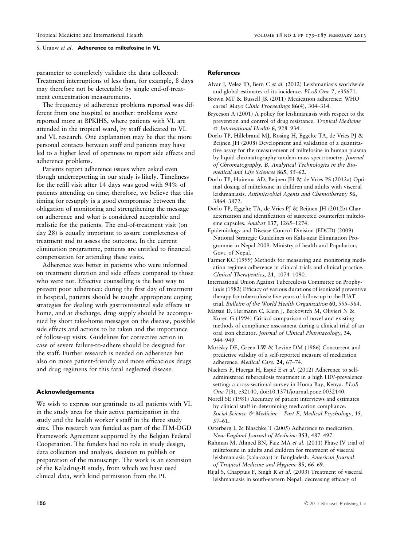parameter to completely validate the data collected: Treatment interruptions of less than, for example, 8 days may therefore not be detectable by single end-of-treatment concentration measurements.

The frequency of adherence problems reported was different from one hospital to another: problems were reported more at BPKIHS, where patients with VL are attended in the tropical ward, by staff dedicated to VL and VL research. One explanation may be that the more personal contacts between staff and patients may have led to a higher level of openness to report side effects and adherence problems.

Patients report adherence issues when asked even though underreporting in our study is likely. Timeliness for the refill visit after 14 days was good with 94% of patients attending on time; therefore, we believe that this timing for resupply is a good compromise between the obligation of monitoring and strengthening the message on adherence and what is considered acceptable and realistic for the patients. The end-of-treatment visit (on day 28) is equally important to assure completeness of treatment and to assess the outcome. In the current elimination programme, patients are entitled to financial compensation for attending these visits.

Adherence was better in patients who were informed on treatment duration and side effects compared to those who were not. Effective counselling is the best way to prevent poor adherence: during the first day of treatment in hospital, patients should be taught appropriate coping strategies for dealing with gastrointestinal side effects at home, and at discharge, drug supply should be accompanied by short take-home messages on the disease, possible side effects and actions to be taken and the importance of follow-up visits. Guidelines for corrective action in case of severe failure-to-adhere should be designed for the staff. Further research is needed on adherence but also on more patient-friendly and more efficacious drugs and drug regimens for this fatal neglected disease.

# Acknowledgements

We wish to express our gratitude to all patients with VL in the study area for their active participation in the study and the health worker's staff in the three study sites. This research was funded as part of the ITM-DGD Framework Agreement supported by the Belgian Federal Cooperation. The funders had no role in study design, data collection and analysis, decision to publish or preparation of the manuscript. The work is an extension of the Kaladrug-R study, from which we have used clinical data, with kind permission from the PI.

# References

- Alvar J, Velez ID, Bern C et al. (2012) Leishmaniasis worldwide and global estimates of its incidence. PLoS One 7, e35671.
- Brown MT & Bussell JK (2011) Medication adherence: WHO cares? Mayo Clinic Proceedings 86(4), 304–314.
- Bryceson A (2001) A policy for leishmaniasis with respect to the prevention and control of drug resistance. Tropical Medicine & International Health 6, 928–934.
- Dorlo TP, Hillebrand MJ, Rosing H, Eggelte TA, de Vries PJ & Beijnen JH (2008) Development and validation of a quantitative assay for the measurement of miltefosine in human plasma by liquid chromatography-tandem mass spectrometry. Journal of Chromatography. B, Analytical Technologies in the Biomedical and Life Sciences 865, 55–62.
- Dorlo TP, Huitema AD, Beijnen JH & de Vries PS (2012a) Optimal dosing of miltefosine in children and adults with visceral leishmaniasis. Antimicrobial Agents and Chemotherapy 56, 3864–3872.
- Dorlo TP, Eggelte TA, de Vries PJ & Beijnen JH (2012b) Characterization and identification of suspected counterfeit miltefosine capsules. Analyst 137, 1265-1274.
- Epidemiology and Disease Control Division (EDCD) (2009) National Strategic Guidelines on Kala-azar Elimination Programme in Nepal 2009. Ministry of health and Population, Govt. of Nepal.
- Farmer KC (1999) Methods for measuring and monitoring mediation regimen adherence in clinical trials and clinical practice. Clinical Therapeutics, 21, 1074–1090.
- International Union Against Tuberculosis Committee on Prophylaxis (1982) Efficacy of various durations of isoniazid preventive therapy for tuberculosis: five years of follow-up in the IUAT trial. Bulletin of the World Health Organization 60, 555–564.
- Matsui D, Hermann C, Klein J, Berkovitch M, Olivieri N & Koren G (1994) Critical comparison of novel and existing methods of compliance assessment during a clinical trial of an oral iron chelator. Journal of Clinical Pharmacology, 34, 944–949.
- Morisky DE, Green LW & Levine DM (1986) Concurrent and predictive validity of a self-reported measure of medication adherence. Medical Care, 24, 67–74.
- Nackers F, Huerga H, Espié E et al. (2012) Adherence to selfadministered tuberculosis treatment in a high HIV-prevalence setting: a cross-sectional survey in Homa Bay, Kenya. PLoS One 7(3), e32140, doi:10.1371/journal.pone.0032140.
- Norell SE (1981) Accuracy of patient interviews and estimates by clinical staff in determining medication compliance. Social Science & Medicine - Part E, Medical Psychology, 15, 57–61.
- Osterberg L & Blaschke T (2005) Adherence to medication. New England Journal of Medicine 353, 487–497.
- Rahman M, Ahmed BN, Faiz MA et al. (2011) Phase IV trial of miltefosine in adults and children for treatment of visceral leishmaniasis (kala-azar) in Bangladesh. American Journal of Tropical Medicine and Hygiene 85, 66–69.
- Rijal S, Chappuis F, Singh R et al. (2003) Treatment of visceral leishmaniasis in south-eastern Nepal: decreasing efficacy of